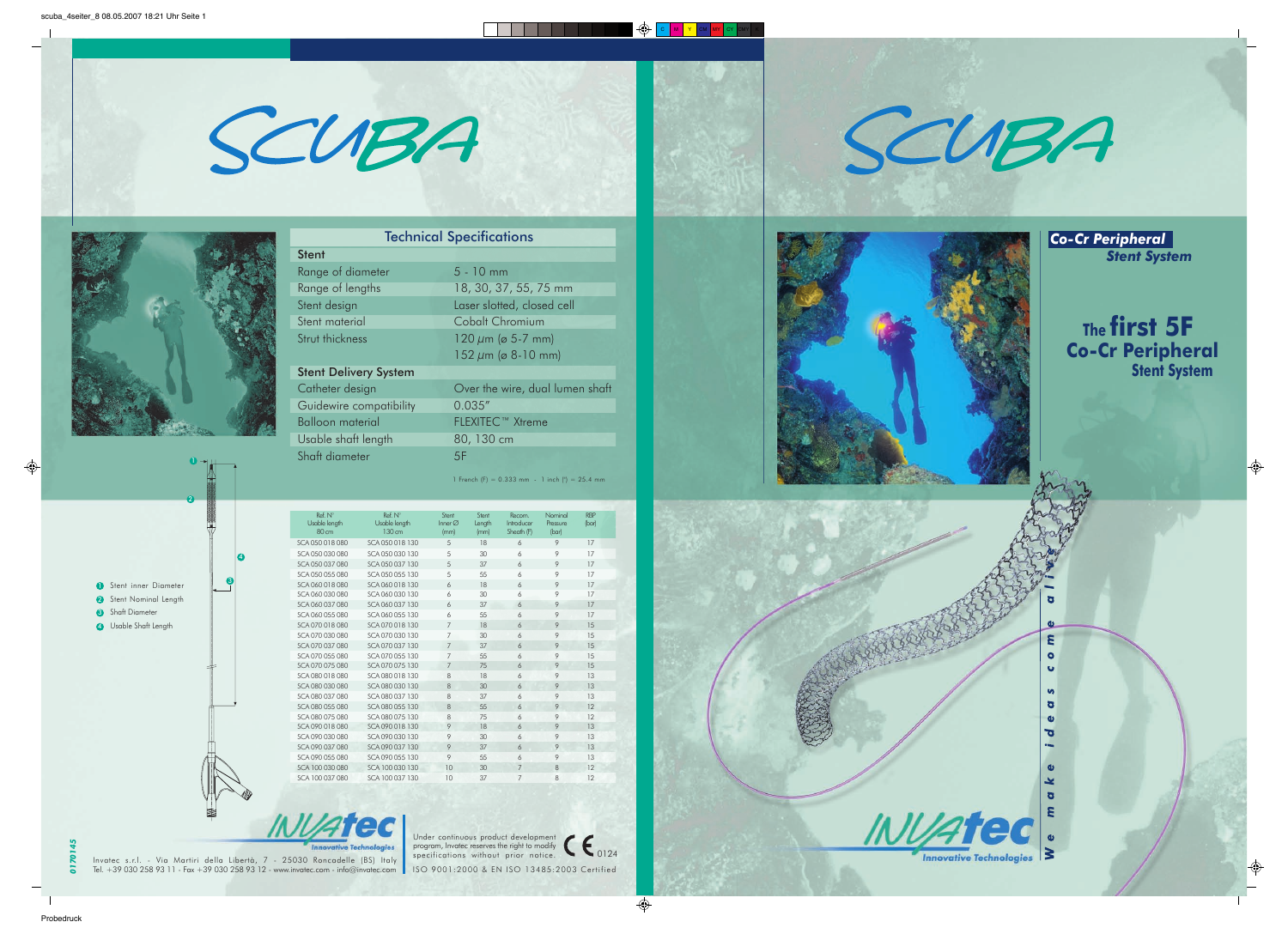



 $\bullet$ 

2

**D** Stent inner Diameter 2 Stent Nominal Length **3** Shaft Diameter **4** Usable Shaft Length 3

 $\bullet$ 

*0170145*

 $\overline{2}$  $\overline{\bullet}$  Invatec s.r.l. - Via Martiri della Libertà, 7 - 25030 Roncadelle (BS) Italy Tel. +39 030 258 93 11 - Fax +39 030 258 93 12 - www.invatec.com - info@invatec.com ISO 9001:2000 & EN ISO 13485:2003 Certified

**VAtec** 

 $\epsilon_{0124}$ Under continuous product development program, Invatec reserves the right to modify specifications without prior notice.





|                              | <b>IECNNICAL SPECIFICATIONS</b> |
|------------------------------|---------------------------------|
| <b>Stent</b>                 |                                 |
| Range of diameter            | $5 - 10$ mm                     |
| Range of lengths             | 18, 30, 37, 55, 75 mm           |
| Stent design                 | Laser slotted, closed cell      |
| Stent material               | Cobalt Chromium                 |
| Strut thickness              | $120 \mu m$ ( $\sigma$ 5-7 mm)  |
|                              | $152 \mu m$ ( $\sigma$ 8-10 mm) |
| <b>Stent Delivery System</b> |                                 |
| Catheter design              | Over the wire, dual lumen shaft |
| Guidewire compatibility      | 0.035''                         |
| <b>Balloon material</b>      | FLEXITEC <sup>™</sup> Xtreme    |
| Usable shaft length          | 80, 130 cm                      |
| Shaft diameter               | 5F                              |
|                              |                                 |

1 French (F) =  $0.333$  mm - 1 inch (") =  $25.4$  mm

#### Technical Specifications







| Ref. N°<br>Usable length<br>80 cm | Ref. N°<br>Usable length<br>130 cm | Stent<br>Inner $\varnothing$<br>(mm) | Stent<br>Length<br>(mm) | Recom.<br>Introducer<br>Sheath (F) | Nominal<br>Pressure<br>(bar) | <b>RBP</b><br>(bar) |
|-----------------------------------|------------------------------------|--------------------------------------|-------------------------|------------------------------------|------------------------------|---------------------|
| SCA 050 018 080                   | SCA 050 018 130                    | 5                                    | 18                      | 6                                  | 9                            | 17                  |
| SCA 050 030 080                   | SCA 050 030 130                    | 5                                    | 30                      | 6                                  | 9                            | 17                  |
| SCA 050 037 080                   | SCA 050 037 130                    | 5                                    | 37                      | 6                                  | 9                            | 17                  |
| SCA 050 055 080                   | SCA 050 055 130                    | 5                                    | 55                      | 6                                  | 9                            | 17                  |
| SCA 060 018 080                   | SCA 060 018 130                    | 6                                    | 18                      | 6                                  | 9                            | 17                  |
| SCA 060 030 080                   | SCA 060 030 130                    | 6                                    | 30 <sup>2</sup>         | 6                                  | 9                            | 17                  |
| SCA 060 037 080                   | SCA 060 037 130                    | 6                                    | 37                      | 6                                  | 9                            | 17                  |
| SCA 060 055 080                   | SCA 060 055 130                    | 6                                    | 55                      | 6                                  | 9                            | 17                  |
| SCA 070 018 080                   | SCA 070 018 130                    | 7                                    | 18                      | 6                                  | 9                            | 15                  |
| SCA 070 030 080                   | SCA 070 030 130                    | $\overline{7}$                       | 30                      | 6                                  | 9                            | 15                  |
| SCA 070 037 080                   | SCA 070 037 130                    | $\overline{7}$                       | 37                      | 6                                  | 9                            | 15                  |
| SCA 070 055 080                   | SCA 070 055 130                    | $\overline{7}$                       | 55                      | 6                                  | 9                            | 15                  |
| SCA 070 075 080                   | SCA 070 075 130                    | $\overline{7}$                       | 75                      | 6                                  | 9                            | 15                  |
| SCA 080 018 080                   | SCA 080 018 130                    | 8                                    | 18                      | 6                                  | 9                            | 13                  |
| SCA 080 030 080                   | SCA 080 030 130                    | 8                                    | 30                      | 6                                  | 9                            | 13                  |
| SCA 080 037 080                   | SCA 080 037 130                    | 8                                    | 37                      | 6                                  | 9                            | 13                  |
| SCA 080 055 080                   | SCA 080 055 130                    | 8                                    | 55                      | 6                                  | 9                            | 12                  |
| SCA 080 075 080                   | SCA 080 075 130                    | 8                                    | 75                      | 6                                  | 9                            | 12                  |
| SCA 090 018 080                   | SCA 090 018 130                    | 9                                    | 18                      | 6                                  | 9                            | 13                  |
| SCA 090 030 080                   | SCA 090 030 130                    | 9                                    | 30                      | 6                                  | 9                            | 13                  |
| SCA 090 037 080                   | SCA 090 037 130                    | 9                                    | 37                      | 6                                  | 9                            | 13                  |
| SCA 090 055 080                   | SCA 090 055 130                    | 9                                    | 55                      | 6                                  | 9                            | 13                  |
| SCA 100 030 080                   | SCA 100 030 130                    | 10                                   | 30                      | 7                                  | 8                            | 12                  |
| SCA 100 037 080                   | SCA 100 037 130                    | 10                                   | 37                      | 7                                  | 8                            | 12                  |

## **The first 5F Co-Cr Peripheral Stent System**

 $\sigma$  $\overline{\mathbf{g}}$ **Innovative Technologies** 

 $\overline{\mathbf{z}}$  $\bullet$  $\bullet$ 

 $\mathbf{v}$  $\sigma$  $\mathbf{a}$  $\overline{\sigma}$ 

 $\overline{\mathbf{x}}$